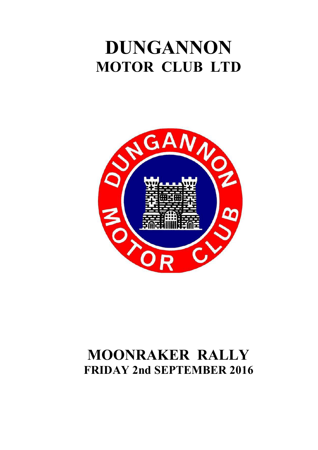# **DUNGANNON MOTOR CLUB LTD**



# **MOONRAKER RALLY FRIDAY 2nd SEPTEMBER 2016**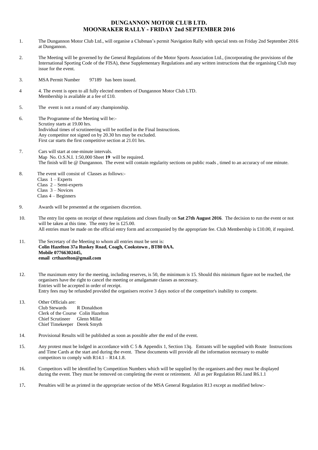### **DUNGANNON MOTOR CLUB LTD. MOONRAKER RALLY - FRIDAY 2nd SEPTEMBER 2016**

- 1. The Dungannon Motor Club Ltd., will organise a Clubman's permit Navigation Rally with special tests on Friday 2nd September 2016 at Dungannon.
- 2. The Meeting will be governed by the General Regulations of the Motor Sports Association Ltd., (incorporating the provisions of the International Sporting Code of the FISA), these Supplementary Regulations and any written instructions that the organising Club may issue for the event.
- 3. MSA Permit Number 97189 has been issued.
- 4 4. The event is open to all fully elected members of Dungannon Motor Club LTD. Membership is available at a fee of £10.
- 5. The event is not a round of any championship.
- 6. The Programme of the Meeting will be:- Scrutiny starts at 19.00 hrs. Individual times of scrutineering will be notified in the Final Instructions. Any competitor not signed on by 20.30 hrs may be excluded. First car starts the first competitive section at 21.01 hrs.
- 7. Cars will start at one-minute intervals. Map No. O.S.N.I. 1:50,000 Sheet **19** will be required. The finish will be @ Dungannon. The event will contain regularity sections on public roads , timed to an accuracy of one minute.
- 8. The event will consist of Classes as follows:- Class 1 – Experts Class 2 – Semi-experts Class 3 – Novices Class 4 – Beginners
- 9. Awards will be presented at the organisers discretion.
- 10. The entry list opens on receipt of these regulations and closes finally on **Sat 27th August 2016**. The decision to run the event or not will be taken at this time. The entry fee is £25.00. All entries must be made on the official entry form and accompanied by the appropriate fee. Club Membership is £10.00, if required.
- 11. The Secretary of the Meeting to whom all entries must be sent is: **Colin Hazelton 37a Ruskey Road, Coagh, Cookstown , BT80 0AA. Mobile 07766302445, email crthazelton@gmail.com**
- 12. The maximum entry for the meeting, including reserves, is 50, the minimum is 15. Should this minimum figure not be reached, the organisers have the right to cancel the meeting or amalgamate classes as necessary. Entries will be accepted in order of receipt. Entry fees may be refunded provided the organisers receive 3 days notice of the competitor's inability to compete.
- 13. Other Officials are: Club Stewards R Donaldson Clerk of the Course Colin Hazelton Chief Scrutineer Glenn Millar Chief Timekeeper Derek Smyth
- 14. Provisional Results will be published as soon as possible after the end of the event.
- 15. Any protest must be lodged in accordance with C 5 & Appendix 1, Section 13q. Entrants will be supplied with Route Instructions and Time Cards at the start and during the event. These documents will provide all the information necessary to enable competitors to comply with  $R14.1 - R14.1.8$ .
- 16. Competitors will be identified by Competition Numbers which will be supplied by the organisers and they must be displayed during the event. They must be removed on completing the event or retirement. All as per Regulation R6.1and R6.1.1
- 17**.** Penalties will be as printed in the appropriate section of the MSA General Regulation R13 except as modified below:-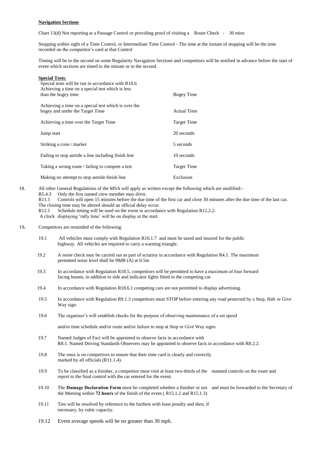#### **Navigation Sections**

Chart 13(d) Not reporting at a Passage Control or providing proof of visiting a Route Check - 30 mins

Stopping within sight of a Time Control, or Intermediate Time Control - The time at the instant of stopping will be the time recorded on the competitor's card at that Control

Timing will be to the second on some Regularity Navigation Sections and competitors will be notified in advance before the start of event which sections are timed to the minute or to the second.

| <b>Special Tests:</b><br>Special tests will be run in accordance with R10.6             |                    |
|-----------------------------------------------------------------------------------------|--------------------|
| Achieving a time on a special test which is less<br>than the bogey time                 | Bogey Time         |
| Achieving a time on a special test which is over the<br>bogey and under the Target Time | <b>Actual Time</b> |
| Achieving a time over the Target Time                                                   | Target Time        |
| Jump start                                                                              | 20 seconds         |
| Striking a cone / marker                                                                | 5 seconds          |
| Failing to stop astride a line including finish line                                    | 10 seconds         |
| Taking a wrong route / failing to compete a test                                        | Target Time        |
| Making no attempt to stop astride finish line                                           | Exclusion          |

18.All other General Regulations of the MSA will apply as written except the following which are modified:- R5.4.3 Only the first named crew member may drive.<br>R11.1 Controls will open 15 minutes before the due t Controls will open 15 minutes before the due time of the first car and close 30 minutes after the due time of the last car. The closing time may be altered should an official delay occur.

R12.1 Schedule timing will be used on the event in accordance with Regulation R12.2.2.

A clock displaying 'rally time' will be on display at the start.

- 19**.** Competitors are reminded of the following:
	- 19.1 All vehicles must comply with Regulation R16.1.7 and must be taxed and insured for the public highway. All vehicles are required to carry a warning triangle.
	- 19.2 A noise check may be carried out as part of scrutiny in accordance with Regulation R4.1. The maximum permitted noise level shall be 98dB (A) at 0.5m
	- 19.3 In accordance with Regulation R18.5, competitors will be permitted to have a maximum of four forward facing beams, in addition to side and indicator lights fitted to the competing car.
	- 19.4 In accordance with Regulation R18.6.1 competing cars are not permitted to display advertising.
	- 19.5 In accordance with Regulation R9.1.3 competitors must STOP before entering any road protected by a Stop, Halt or Give Way sign.
	- 19.6 The organiser's will establish checks for the purpose of observing maintenance of a set speed

and/or time schedule and/or route and/or failure to stop at Stop or Give Way signs.

- 19.7 Named Judges of Fact will be appointed to observe facts in accordance with R8.1. Named Driving Standards Observers may be appointed to observe facts in accordance with R8.2.2.
- 19.8 The onus is on competitors to ensure that their time card is clearly and correctly marked by all officials (R11.1.4).
- 19.9 To be classified as a finisher, a competitor must visit at least two-thirds of the manned controls on the route and report to the final control with the car entered for the event.
- 19.10 The **Damage Declaration Form** must be completed whether a finisher or not and must be forwarded to the Secretary of the Meeting within **72 hours** of the finish of the event.( R15.1.2 and R15.1.3)
- 19.11 Ties will be resolved by reference to the furthest with least penalty and then, if necessary, by cubic capacity.
- 19.12 Event average speeds will be no greater than 30 mph.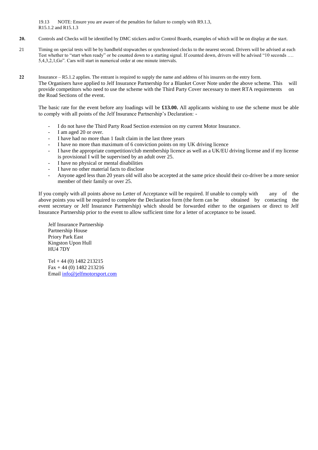19.13 NOTE: Ensure you are aware of the penalties for failure to comply with R9.1.3, R15.1.2 and R15.1.3

- **20.** Controls and Checks will be identified by DMC stickers and/or Control Boards, examples of which will be on display at the start.
- 21 Timing on special tests will be by handheld stopwatches or synchronised clocks to the nearest second. Drivers will be advised at each Test whether to "start when ready" or be counted down to a starting signal. If counted down, drivers will be advised "10 seconds .... 5,4,3,2,1,Go". Cars will start in numerical order at one minute intervals.
- **22** Insurance R5.1.2 applies. The entrant is required to supply the name and address of his insurers on the entry form. The Organisers have applied to Jelf Insurance Partnership for a Blanket Cover Note under the above scheme. This will provide competitors who need to use the scheme with the Third Party Cover necessary to meet RTA requirements on the Road Sections of the event.

The basic rate for the event before any loadings will be **£13.00.** All applicants wishing to use the scheme must be able to comply with all points of the Jelf Insurance Partnership's Declaration: -

- I do not have the Third Party Road Section extension on my current Motor Insurance.
- I am aged 20 or over.
- I have had no more than 1 fault claim in the last three years
- I have no more than maximum of 6 conviction points on my UK driving licence
- I have the appropriate competition/club membership licence as well as a UK/EU driving license and if my license is provisional I will be supervised by an adult over 25.
- I have no physical or mental disabilities
- I have no other material facts to disclose
- Anyone aged less than 20 years old will also be accepted at the same price should their co-driver be a more senior member of their family or over 25.

If you comply with all points above no Letter of Acceptance will be required. If unable to comply with any of the above points you will be required to complete the Declaration form (the form can be obtained by contacting the event secretary or Jelf Insurance Partnership) which should be forwarded either to the organisers or direct to Jelf Insurance Partnership prior to the event to allow sufficient time for a letter of acceptance to be issued.

Jelf Insurance Partnership Partnership House Priory Park East Kingston Upon Hull HU4 7DY

Tel + 44 (0) 1482 213215 Fax + 44 (0) 1482 213216 Email [info@jelfmotorsport.com](mailto:info@jelfmotorsport.com)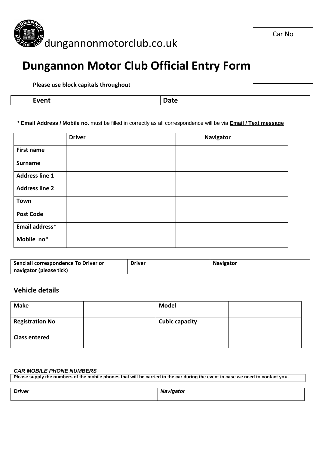

## **Dungannon Motor Club Official Entry Form**

**Please use block capitals throughout**

| Event | Date |
|-------|------|
|-------|------|

**\* Email Address / Mobile no.** must be filled in correctly as all correspondence will be via **Email / Text message**

|                       | <b>Driver</b> | <b>Navigator</b> |
|-----------------------|---------------|------------------|
| <b>First name</b>     |               |                  |
| <b>Surname</b>        |               |                  |
| <b>Address line 1</b> |               |                  |
| <b>Address line 2</b> |               |                  |
| <b>Town</b>           |               |                  |
| <b>Post Code</b>      |               |                  |
| Email address*        |               |                  |
| Mobile no*            |               |                  |

| Send all correspondence To Driver or | <b>Driver</b> | <b>Navigator</b> |
|--------------------------------------|---------------|------------------|
| navigator (please tick)              |               |                  |

### **Vehicle details**

| <b>Make</b>            | <b>Model</b>          |  |
|------------------------|-----------------------|--|
| <b>Registration No</b> | <b>Cubic capacity</b> |  |
| <b>Class entered</b>   |                       |  |

### *CAR MOBILE PHONE NUMBERS*

**Please supply the numbers of the mobile phones that will be carried in the car during the event in case we need to contact you.**

| <b>Driver</b> | <b>Navigator</b> |
|---------------|------------------|
|               |                  |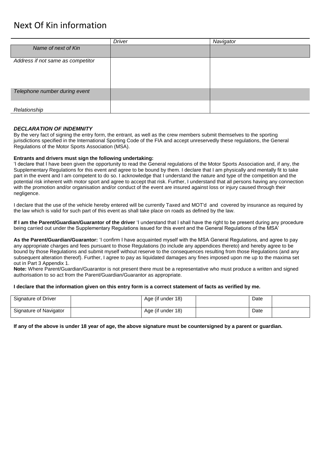### Next Of Kin information

|                                   | <b>Driver</b> | Navigator |
|-----------------------------------|---------------|-----------|
| Name of next of Kin               |               |           |
|                                   |               |           |
| Address if not same as competitor |               |           |
|                                   |               |           |
|                                   |               |           |
|                                   |               |           |
|                                   |               |           |
| Telephone number during event     |               |           |
|                                   |               |           |
|                                   |               |           |
| Relationship                      |               |           |

### *DECLARATION OF INDEMNITY*

By the very fact of signing the entry form, the entrant, as well as the crew members submit themselves to the sporting jurisdictions specified in the International Sporting Code of the FIA and accept unreservedly these regulations, the General Regulations of the Motor Sports Association (MSA).

#### **Entrants and drivers must sign the following undertaking:**

'I declare that I have been given the opportunity to read the General regulations of the Motor Sports Association and, if any, the Supplementary Regulations for this event and agree to be bound by them. I declare that I am physically and mentally fit to take part in the event and I am competent to do so. I acknowledge that I understand the nature and type of the competition and the potential risk inherent with motor sport and agree to accept that risk. Further, I understand that all persons having any connection with the promotion and/or organisation and/or conduct of the event are insured against loss or injury caused through their negligence.

I declare that the use of the vehicle hereby entered will be currently Taxed and MOT'd and covered by insurance as required by the law which is valid for such part of this event as shall take place on roads as defined by the law.

**If I am the Parent/Guardian/Guarantor of the driver** 'I understand that I shall have the right to be present during any procedure being carried out under the Supplementary Regulations issued for this event and the General Regulations of the MSA'

**As the Parent/Guardian/Guarantor:** 'I confirm I have acquainted myself with the MSA General Regulations, and agree to pay any appropriate charges and fees pursuant to those Regulations (to include any appendices thereto) and hereby agree to be bound by those Regulations and submit myself without reserve to the consequences resulting from those Regulations (and any subsequent alteration thereof). Further, I agree to pay as liquidated damages any fines imposed upon me up to the maxima set out in Part 3 Appendix 1.

**Note:** Where Parent/Guardian/Guarantor is not present there must be a representative who must produce a written and signed authorisation to so act from the Parent/Guardian/Guarantor as appropriate.

#### **I declare that the information given on this entry form is a correct statement of facts as verified by me.**

| Signature of Driver    | Age (if under 18) | Date |  |
|------------------------|-------------------|------|--|
| Signature of Navigator | Age (if under 18) | Date |  |

**If any of the above is under 18 year of age, the above signature must be countersigned by a parent or guardian.**